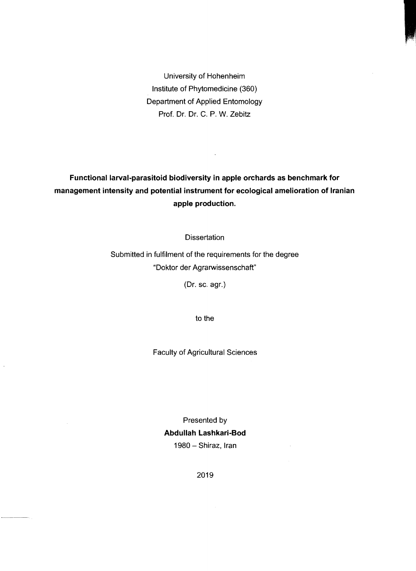University of Hohenheim Institute of Phytomedicine (360) Department of Applied Entomology Prof. Dr. Dr. C. P. W. Zebitz

## **Functional larval-parasitoid biodiversity in apple orchards as benchmark for management intensity and potential instrument for ecological amelioration of Iranian apple production.**

 $\bar{\mathcal{A}}$ 

**Dissertation** 

Submitted in fulfilment of the requirements for the degree "Doktor der Agrarwissenschaft"

(Dr. sc. agr.)

to the

Faculty of Agricultural Sciences

Presented by **Abdullah Lashkari-Bod**  1980 - Shiraz, Iran

2019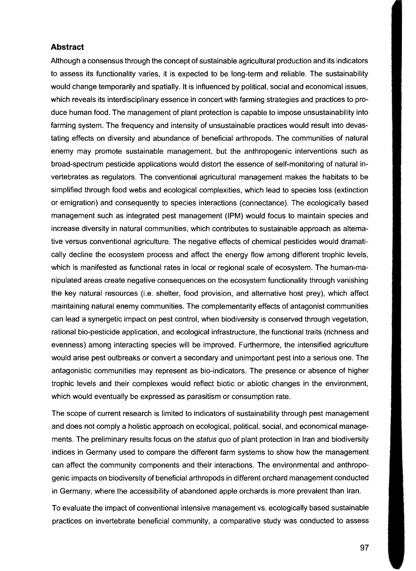## **Abstract**

Although a consensus through the concept of sustainable agricultural production and its indicators to assess its functionality varies, it is expected to be long-term and reliable. The sustainability would change temporarily and spatially. **It** is influenced by political, social and economical issues, which reveals its interdisciplinary essence in concert with farming strategies and practices to produce human food. The management of plant protection is capable to impose unsustainability into farming system. The frequency and intensity of unsustainable practices would result into devastating effects on diversity and abundance of beneficial arthropods. The communities of natural enemy may promote sustainable management, but the anthropogenic interventions such as broad-spectrum pesticide applications would distort the essence of self-monitoring of natural invertebrates as regulators. The conventional agricultural management makes the habitats to be simplified through food webs and ecological complexities, which lead to species loss (extinction or emigration) and consequently to species interactions (connectance). The ecologically based management such as integrated pest management (IPM) would focus to maintain species and increase diversity in natural communities, which contributes to sustainable approach as alternative versus conventional agriculture. The negative effects of chemical pesticides would dramatically decline the ecosystem process and affect the energy flow among different trophic levels, which is manifested as functional rates in local or regional scale of ecosystem. The human-manipulated areas create negative consequences on the ecosystem functionality through vanishing the key natural resources (i.e. shelter, food provision, and alternative host prey), which affect maintaining natural enemy communities. The complementarity effects of antagonist communities can lead a synergetic impact on pest control, when biodiversity is conserved through vegetation, rational bio-pesticide application, and ecological infrastructure, the functional traits (richness and evenness) among interacting species will be improved. Furthermore, the intensified agriculture would arise pest outbreaks or convert a secondary and unimportant pest into a serious one. The antagonistic communities may represent as bio-indicators. The presence or absence of higher trophic levels and their complexes would reflect biotic or abiotic changes in the environment, which would eventually be expressed as parasitism or consumption rate.

The scope of current research is limited to indicators of sustainability through pest management and does not comply a holistic approach on ecological, political, social, and economical managements. The preliminary results focus on the status quo of plant protection in Iran and biodiversity indices in Germany used to compare the different farm systems to show how the management can affect the community components and their interactions. The environmental and anthropogenie impacts on biodiversity of beneficial arthropods in different orchard management conducted in Germany, where the accessibility of abandoned apple orchards is more prevalent than Iran.

To evaluate the impact of conventional intensive management vs. ecologically based sustainable practices on invertebrate beneficial community, a comparative study was conducted to assess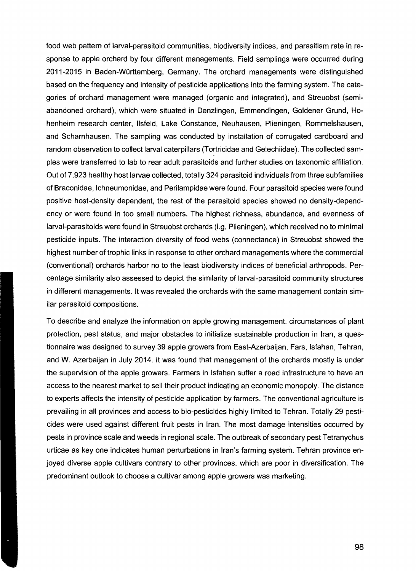food web pattern of larval-parasitoid communities, biodiversity indices, and parasitism rate in response to apple orchard by four different managements. Field samplings were occurred during 2011-2015 in Baden-Württemberg, Germany. The orchard managements were distinguished based on the frequency and intensity of pesticide applications into the farming system. The categories of orchard management were managed (organic and integrated), and Streuobst (semiabandoned orchard), which were situated in Denzlingen, Emmendingen, Goldener Grund, Hohenheim research center, IIsfeld, Lake Constance, Neuhausen, Plieningen, Rommelshausen, and Scharnhausen. The sampling was conducted by installation of corrugated cardboard and random observation to collect larval caterpillars (Tortricidae and Gelechiidae). The collected sampies were transferred to lab to rear adult parasitoids and further studies on taxonomie affiliation. Out of 7,923 healthy host larvae collected, totally 324 parasitoid individuals from three subfamilies of Braconidae, Ichneumonidae, and Perilampidae were found. Four parasitoid species were found positive host-density dependent, the rest of the parasitoid species showed no density-dependency or were found in too small numbers. The highest richness, abundance, and evenness of larval-parasitoids were found in Streuobst orchards (i.g. Plieningen), which received no to minimal pesticide inputs. The interaction diversity of food webs (connectance) in Streuobst showed the highest number of trophic links in response to other orchard managements where the commercial (conventional) orchards harbor no to the least biodiversity indices of beneficial arthropods. Percentage similarity also assessed to depict the similarity of larval-parasitoid community structures in different managements. It was revealed the orchards with the same management contain similar parasitoid compositions.

To describe and analyze the information on apple growing management, circumstances of plant protection, pest status, and major obstacles to initialize sustainable production in Iran, a questionnaire was desjgned to survey 39 apple growers from East-Azerbaijan, Fars, Isfahan, Tehran, and W. Azerbaijan in July 2014. It was found that management of the orchards mostly is under the supervision of the apple growers. Farmers in Isfahan suffer a road infrastructure to have an access to the nearest market to seil their product indicating an economic monopoly. The distance to experts affects the intensity of pesticide application by farmers. The conventional agriculture is prevailing in all provinces and access to bio-pesticides highly limited to Tehran. Totally 29 pestieides were used against different fruit pests in Iran. The most damage intensities occurred by pests in province scale and weeds in regional scale. The outbreak of secondary pest Tetranychus urticae as key one indicates human perturbations in Iran's farming system. Tehran province enjoyed diverse apple cultivars contrary to other provinces, which are poor in diversification. The predominant outlook to choose a cultivar among apple growers was marketing.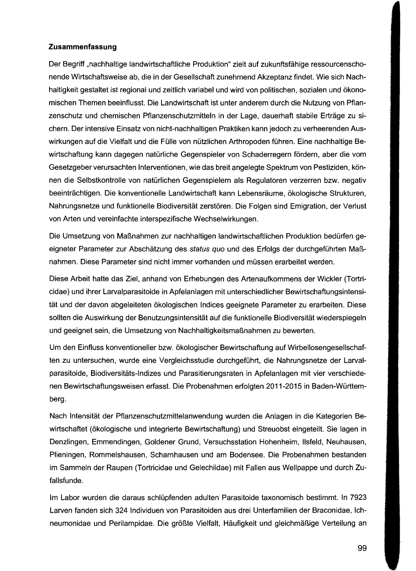## **Zusammenfassung**

Der Begriff "nachhaltige landwirtschaftliche Produktion" zielt auf zukunftsfähige ressourcenschonende Wirtschaftsweise ab, die in der Gesellschaft zunehmend Akzeptanz findet. Wie sich Nachhaltigkeit gestaltet ist regional und zeitlich variabel und wird von politischen, sozialen und ökonomischen Themen beeinflusst. Die Landwirtschaft ist unter anderem durch die Nutzung von Pflanzenschutz und chemischen Pflanzenschutzmitteln in der Lage, dauerhaft stabile Erträge zu sichern. Der intensive Einsatz von nicht-nachhaltigen Praktiken kann jedoch zu verheerenden Auswirkungen auf die Vielfalt und die Fülle von nützlichen Arthropoden führen. Eine nachhaltige Bewirtschaftung kann dagegen natürliche Gegenspieler von Schaderregern fördern, aber die vom Gesetzgeber verursachten Interventionen, wie das breit angelegte Spektrum von Pestiziden, können die Selbstkontrolle von natürlichen Gegenspielern als Regulatoren verzerren bzw. negativ beeinträchtigen. Die konventionelle Landwirtschaft kann Lebensräume, ökologische Strukturen, Nahrungsnetze und funktionelle Biodiversität zerstören. Die Folgen sind Emigration, der Verlust von Arten und vereinfachte interspezifische Wechselwirkungen.

Die Umsetzung von Maßnahmen zur nachhaltigen landwirtschaftlichen Produktion bedürfen geeigneter Parameter zur Abschätzung des status quo und des Erfolgs der durchgeführten Maßnahmen. Diese Parameter sind nicht immer vorhanden und müssen erarbeitet werden.

Diese Arbeit hatte das Ziel, anhand von Erhebungen des Artenaufkommens der Wickler (Tortricidae) und ihrer Larvalparasitoide in Apfelanlagen mit unterschiedlicher Bewirtschaftungsintensität und der davon abgeleiteten ökologischen Indices geeignete Parameter zu erarbeiten. Diese sollten die Auswirkung der Benutzungsintensität auf die funktionelle Biodiversität wiederspiegeln und geeignet sein, die Umsetzung von Nachhaltigkeitsmaßnahmen zu bewerten.

Um den Einfluss konventioneller bzw. ökologischer Bewirtschaftung auf Wirbellosengesellschaften zu untersuchen, wurde eine Vergleichsstudie durchgeführt, die Nahrungsnetze der Larvalparasitoide, Biodiversitäts-Indizes und Parasitierungsraten in Apfelanlagen mit vier verschiedenen Bewirtschaftungsweisen erfasst. Die Probenahmen erfolgten 2011-2015 in Baden-Württemberg.

Nach Intensität der Pflanzenschutzmittelanwendung wurden die Anlagen in die Kategorien Bewirtschaftet (ökologische und integrierte Bewirtschaftung) und Streuobst eingeteilt. Sie lagen in Denzlingen, Emmendingen, Goldener Grund, Versuchsstation Hohenheim, IIsfeld, Neuhausen, Plieningen, Rommelshausen, Scharnhausen und am Bodensee. Die Probenahmen bestanden im Sammeln der Raupen (Tortricidae und Gelechiidae) mit Fallen aus Wellpappe und durch Zufallsfunde.

Im Labor wurden die daraus schlüpfenden adulten Parasitoide taxonomisch bestimmt. In 7923 Larven fanden sich 324 Individuen von Parasitoiden aus drei Unterfamilien der Braconidae, Ichneumonidae und Perilampidae. Die größte Vielfalt, Häufigkeit und gleichmäßige Verteilung an